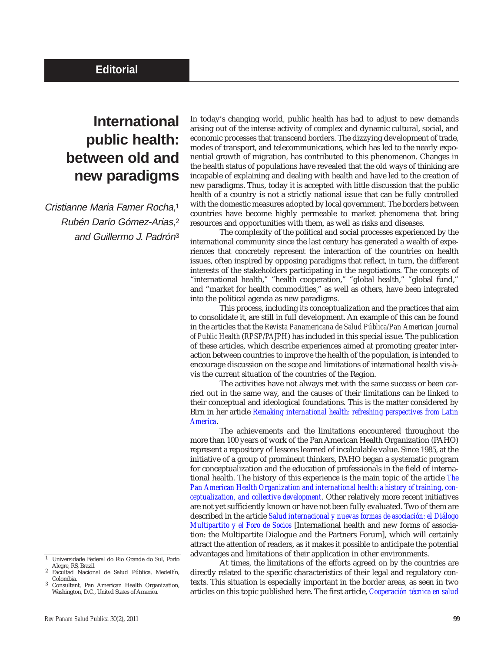## **International public health: between old and new paradigms**

Cristianne Maria Famer Rocha,1 Rubén Darío Gómez-Arias,2 and Guillermo J. Padrón3

In today's changing world, public health has had to adjust to new demands arising out of the intense activity of complex and dynamic cultural, social, and economic processes that transcend borders. The dizzying development of trade, modes of transport, and telecommunications, which has led to the nearly exponential growth of migration, has contributed to this phenomenon. Changes in the health status of populations have revealed that the old ways of thinking are incapable of explaining and dealing with health and have led to the creation of new paradigms. Thus, today it is accepted with little discussion that the public health of a country is not a strictly national issue that can be fully controlled with the domestic measures adopted by local government. The borders between countries have become highly permeable to market phenomena that bring resources and opportunities with them, as well as risks and diseases.

The complexity of the political and social processes experienced by the international community since the last century has generated a wealth of experiences that concretely represent the interaction of the countries on health issues, often inspired by opposing paradigms that reflect, in turn, the different interests of the stakeholders participating in the negotiations. The concepts of "international health," "health cooperation," "global health," "global fund," and "market for health commodities," as well as others, have been integrated into the political agenda as new paradigms.

This process, including its conceptualization and the practices that aim to consolidate it, are still in full development. An example of this can be found in the articles that the *Revista Panamericana de Salud Pública/Pan American Journal of Public Health* (*RPSP/PAJPH*) has included in this special issue. The publication of these articles, which describe experiences aimed at promoting greater interaction between countries to improve the health of the population, is intended to encourage discussion on the scope and limitations of international health vis-àvis the current situation of the countries of the Region.

The activities have not always met with the same success or been carried out in the same way, and the causes of their limitations can be linked to their conceptual and ideological foundations. This is the matter considered by Birn in her article *[Remaking international health: refreshing perspectives from Latin](http://new.paho.org/journal/index.php?option=com_docman&task=doc_download&gid=285&Itemid=) America*.

The achievements and the limitations encountered throughout the more than 100 years of work of the Pan American Health Organization (PAHO) represent a repository of lessons learned of incalculable value. Since 1985, at the initiative of a group of prominent thinkers, PAHO began a systematic program for conceptualization and the education of professionals in the field of international health. The history of this experience is the main topic of the article *The [Pan American Health Organization and international health: a history of training, con](http://new.paho.org/journal/index.php?option=com_docman&task=doc_download&gid=287&Itemid=)ceptualization, and collective development*. Other relatively more recent initiatives are not yet sufficiently known or have not been fully evaluated. Two of them are described in the article *[Salud internacional y nuevas formas de asociación: el Diálogo](http://new.paho.org/journal/index.php?option=com_docman&task=doc_download&gid=289&Itemid=) Multipartito y el Foro de Socios* [International health and new forms of association: the Multipartite Dialogue and the Partners Forum], which will certainly attract the attention of readers, as it makes it possible to anticipate the potential advantages and limitations of their application in other environments.

At times, the limitations of the efforts agreed on by the countries are directly related to the specific characteristics of their legal and regulatory contexts. This situation is especially important in the border areas, as seen in two articles on this topic published here. The first article, *[Cooperación técnica en salud](http://new.paho.org/journal/index.php?option=com_docman&task=doc_download&gid=291&Itemid=)*

<sup>1</sup> Universidade Federal do Rio Grande do Sul, Porto

Facultad Nacional de Salud Pública, Medellín, Colombia.

Consultant, Pan American Health Organization, Washington, D.C., United States of America.